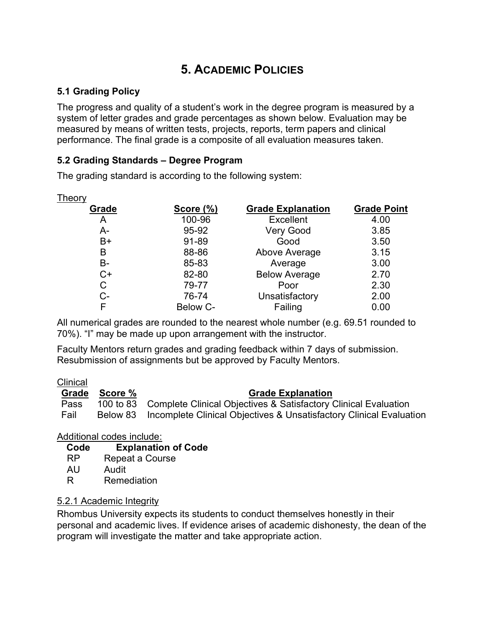# 5. ACADEMIC POLICIES

### 5.1 Grading Policy

The progress and quality of a student's work in the degree program is measured by a system of letter grades and grade percentages as shown below. Evaluation may be measured by means of written tests, projects, reports, term papers and clinical performance. The final grade is a composite of all evaluation measures taken.

### 5.2 Grading Standards – Degree Program

The grading standard is according to the following system:

| Theory |                  |                          |                    |
|--------|------------------|--------------------------|--------------------|
| Grade  | <b>Score (%)</b> | <b>Grade Explanation</b> | <b>Grade Point</b> |
| A      | 100-96           | <b>Excellent</b>         | 4.00               |
| А-     | 95-92            | <b>Very Good</b>         | 3.85               |
| $B+$   | 91-89            | Good                     | 3.50               |
| B      | 88-86            | Above Average            | 3.15               |
| В-     | 85-83            | Average                  | 3.00               |
| $C+$   | 82-80            | <b>Below Average</b>     | 2.70               |
| С      | 79-77            | Poor                     | 2.30               |
| C-     | 76-74            | Unsatisfactory           | 2.00               |
| F      | Below C-         | Failing                  | 0.00               |

All numerical grades are rounded to the nearest whole number (e.g. 69.51 rounded to 70%). "I" may be made up upon arrangement with the instructor.

Faculty Mentors return grades and grading feedback within 7 days of submission. Resubmission of assignments but be approved by Faculty Mentors.

#### **Clinical**

|      | Grade Score % | <b>Grade Explanation</b>                                                     |  |  |
|------|---------------|------------------------------------------------------------------------------|--|--|
| Pass |               | 100 to 83 Complete Clinical Objectives & Satisfactory Clinical Evaluation    |  |  |
| Fail |               | Below 83 Incomplete Clinical Objectives & Unsatisfactory Clinical Evaluation |  |  |

### Additional codes include:

#### Code Explanation of Code

- RP Repeat a Course
- AU Audit
- R Remediation

### 5.2.1 Academic Integrity

Rhombus University expects its students to conduct themselves honestly in their personal and academic lives. If evidence arises of academic dishonesty, the dean of the program will investigate the matter and take appropriate action.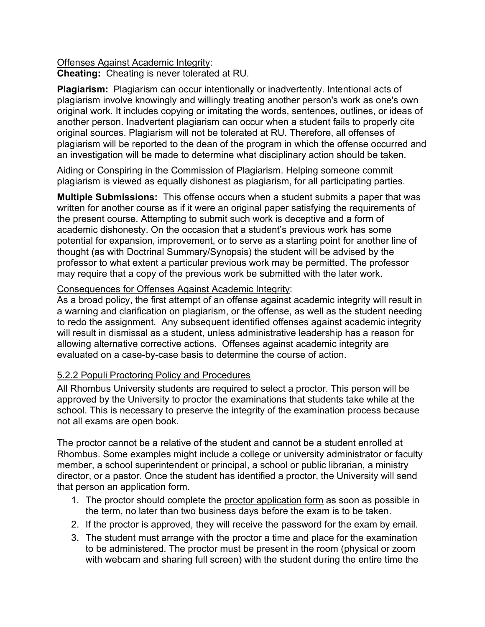#### Offenses Against Academic Integrity: Cheating: Cheating is never tolerated at RU.

Plagiarism: Plagiarism can occur intentionally or inadvertently. Intentional acts of plagiarism involve knowingly and willingly treating another person's work as one's own original work. It includes copying or imitating the words, sentences, outlines, or ideas of another person. Inadvertent plagiarism can occur when a student fails to properly cite original sources. Plagiarism will not be tolerated at RU. Therefore, all offenses of plagiarism will be reported to the dean of the program in which the offense occurred and an investigation will be made to determine what disciplinary action should be taken.

Aiding or Conspiring in the Commission of Plagiarism. Helping someone commit plagiarism is viewed as equally dishonest as plagiarism, for all participating parties.

Multiple Submissions: This offense occurs when a student submits a paper that was written for another course as if it were an original paper satisfying the requirements of the present course. Attempting to submit such work is deceptive and a form of academic dishonesty. On the occasion that a student's previous work has some potential for expansion, improvement, or to serve as a starting point for another line of thought (as with Doctrinal Summary/Synopsis) the student will be advised by the professor to what extent a particular previous work may be permitted. The professor may require that a copy of the previous work be submitted with the later work.

#### Consequences for Offenses Against Academic Integrity:

As a broad policy, the first attempt of an offense against academic integrity will result in a warning and clarification on plagiarism, or the offense, as well as the student needing to redo the assignment. Any subsequent identified offenses against academic integrity will result in dismissal as a student, unless administrative leadership has a reason for allowing alternative corrective actions. Offenses against academic integrity are evaluated on a case-by-case basis to determine the course of action.

### 5.2.2 Populi Proctoring Policy and Procedures

All Rhombus University students are required to select a proctor. This person will be approved by the University to proctor the examinations that students take while at the school. This is necessary to preserve the integrity of the examination process because not all exams are open book.

The proctor cannot be a relative of the student and cannot be a student enrolled at Rhombus. Some examples might include a college or university administrator or faculty member, a school superintendent or principal, a school or public librarian, a ministry director, or a pastor. Once the student has identified a proctor, the University will send that person an application form.

- 1. The proctor should complete the proctor application form as soon as possible in the term, no later than two business days before the exam is to be taken.
- 2. If the proctor is approved, they will receive the password for the exam by email.
- 3. The student must arrange with the proctor a time and place for the examination to be administered. The proctor must be present in the room (physical or zoom with webcam and sharing full screen) with the student during the entire time the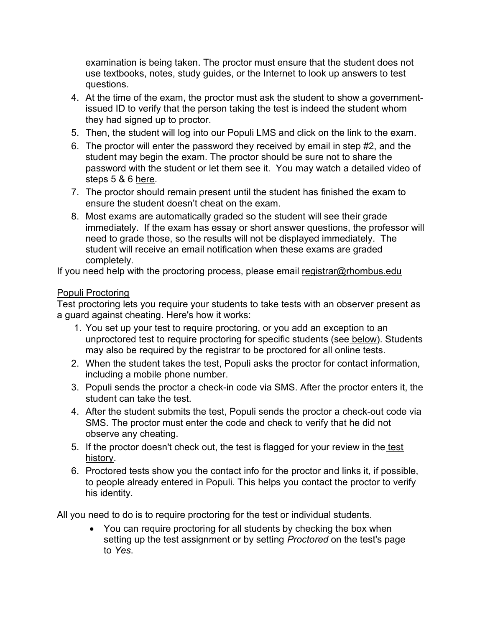examination is being taken. The proctor must ensure that the student does not use textbooks, notes, study guides, or the Internet to look up answers to test questions.

- 4. At the time of the exam, the proctor must ask the student to show a governmentissued ID to verify that the person taking the test is indeed the student whom they had signed up to proctor.
- 5. Then, the student will log into our Populi LMS and click on the link to the exam.
- 6. The proctor will enter the password they received by email in step #2, and the student may begin the exam. The proctor should be sure not to share the password with the student or let them see it. You may watch a detailed video of steps 5 & 6 here.
- 7. The proctor should remain present until the student has finished the exam to ensure the student doesn't cheat on the exam.
- 8. Most exams are automatically graded so the student will see their grade immediately. If the exam has essay or short answer questions, the professor will need to grade those, so the results will not be displayed immediately. The student will receive an email notification when these exams are graded completely.

If you need help with the proctoring process, please email registrar@rhombus.edu

### Populi Proctoring

Test proctoring lets you require your students to take tests with an observer present as a guard against cheating. Here's how it works:

- 1. You set up your test to require proctoring, or you add an exception to an unproctored test to require proctoring for specific students (see below). Students may also be required by the registrar to be proctored for all online tests.
- 2. When the student takes the test, Populi asks the proctor for contact information, including a mobile phone number.
- 3. Populi sends the proctor a check-in code via SMS. After the proctor enters it, the student can take the test.
- 4. After the student submits the test, Populi sends the proctor a check-out code via SMS. The proctor must enter the code and check to verify that he did not observe any cheating.
- 5. If the proctor doesn't check out, the test is flagged for your review in the test history.
- 6. Proctored tests show you the contact info for the proctor and links it, if possible, to people already entered in Populi. This helps you contact the proctor to verify his identity.

All you need to do is to require proctoring for the test or individual students.

• You can require proctoring for all students by checking the box when setting up the test assignment or by setting *Proctored* on the test's page to Yes.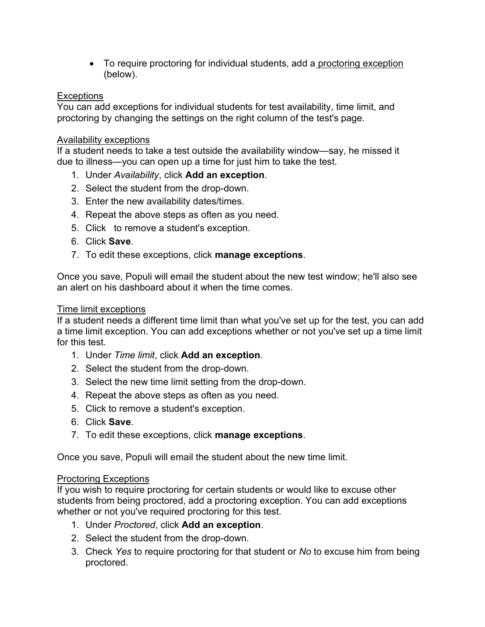• To require proctoring for individual students, add a proctoring exception (below).

#### **Exceptions**

You can add exceptions for individual students for test availability, time limit, and proctoring by changing the settings on the right column of the test's page.

#### Availability exceptions

If a student needs to take a test outside the availability window—say, he missed it due to illness—you can open up a time for just him to take the test.

- 1. Under Availability, click Add an exception.
- 2. Select the student from the drop-down.
- 3. Enter the new availability dates/times.
- 4. Repeat the above steps as often as you need.
- 5. Click to remove a student's exception.
- 6. Click Save.
- 7. To edit these exceptions, click **manage exceptions**.

Once you save, Populi will email the student about the new test window; he'll also see an alert on his dashboard about it when the time comes.

#### Time limit exceptions

If a student needs a different time limit than what you've set up for the test, you can add a time limit exception. You can add exceptions whether or not you've set up a time limit for this test.

- 1. Under Time limit, click Add an exception.
- 2. Select the student from the drop-down.
- 3. Select the new time limit setting from the drop-down.
- 4. Repeat the above steps as often as you need.
- 5. Click to remove a student's exception.
- 6. Click Save.
- 7. To edit these exceptions, click manage exceptions.

Once you save, Populi will email the student about the new time limit.

#### Proctoring Exceptions

If you wish to require proctoring for certain students or would like to excuse other students from being proctored, add a proctoring exception. You can add exceptions whether or not you've required proctoring for this test.

- 1. Under Proctored, click Add an exception.
- 2. Select the student from the drop-down.
- 3. Check Yes to require proctoring for that student or No to excuse him from being proctored.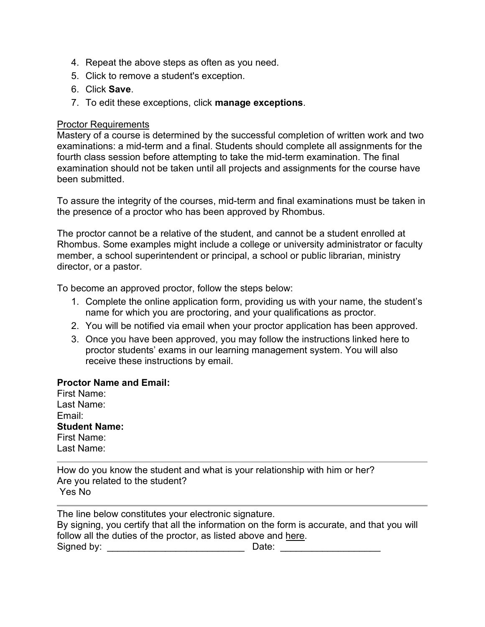- 4. Repeat the above steps as often as you need.
- 5. Click to remove a student's exception.
- 6. Click Save.
- 7. To edit these exceptions, click manage exceptions.

#### Proctor Requirements

Mastery of a course is determined by the successful completion of written work and two examinations: a mid-term and a final. Students should complete all assignments for the fourth class session before attempting to take the mid-term examination. The final examination should not be taken until all projects and assignments for the course have been submitted.

To assure the integrity of the courses, mid-term and final examinations must be taken in the presence of a proctor who has been approved by Rhombus.

The proctor cannot be a relative of the student, and cannot be a student enrolled at Rhombus. Some examples might include a college or university administrator or faculty member, a school superintendent or principal, a school or public librarian, ministry director, or a pastor.

To become an approved proctor, follow the steps below:

- 1. Complete the online application form, providing us with your name, the student's name for which you are proctoring, and your qualifications as proctor.
- 2. You will be notified via email when your proctor application has been approved.
- 3. Once you have been approved, you may follow the instructions linked here to proctor students' exams in our learning management system. You will also receive these instructions by email.

#### Proctor Name and Email:

First Name: Last Name: Email: Student Name: First Name: Last Name:

How do you know the student and what is your relationship with him or her? Are you related to the student? Yes No

The line below constitutes your electronic signature. By signing, you certify that all the information on the form is accurate, and that you will follow all the duties of the proctor, as listed above and here. Signed by: \_\_\_\_\_\_\_\_\_\_\_\_\_\_\_\_\_\_\_\_\_\_\_\_\_\_ Date: \_\_\_\_\_\_\_\_\_\_\_\_\_\_\_\_\_\_\_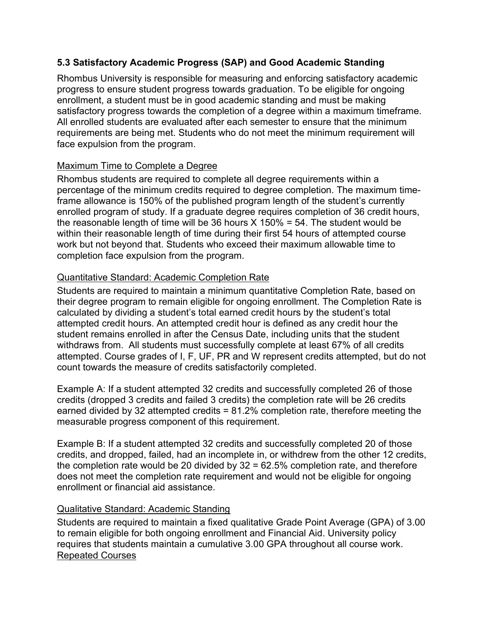### 5.3 Satisfactory Academic Progress (SAP) and Good Academic Standing

Rhombus University is responsible for measuring and enforcing satisfactory academic progress to ensure student progress towards graduation. To be eligible for ongoing enrollment, a student must be in good academic standing and must be making satisfactory progress towards the completion of a degree within a maximum timeframe. All enrolled students are evaluated after each semester to ensure that the minimum requirements are being met. Students who do not meet the minimum requirement will face expulsion from the program.

### Maximum Time to Complete a Degree

Rhombus students are required to complete all degree requirements within a percentage of the minimum credits required to degree completion. The maximum timeframe allowance is 150% of the published program length of the student's currently enrolled program of study. If a graduate degree requires completion of 36 credit hours, the reasonable length of time will be 36 hours  $X$  150% = 54. The student would be within their reasonable length of time during their first 54 hours of attempted course work but not beyond that. Students who exceed their maximum allowable time to completion face expulsion from the program.

### Quantitative Standard: Academic Completion Rate

Students are required to maintain a minimum quantitative Completion Rate, based on their degree program to remain eligible for ongoing enrollment. The Completion Rate is calculated by dividing a student's total earned credit hours by the student's total attempted credit hours. An attempted credit hour is defined as any credit hour the student remains enrolled in after the Census Date, including units that the student withdraws from. All students must successfully complete at least 67% of all credits attempted. Course grades of I, F, UF, PR and W represent credits attempted, but do not count towards the measure of credits satisfactorily completed.

Example A: If a student attempted 32 credits and successfully completed 26 of those credits (dropped 3 credits and failed 3 credits) the completion rate will be 26 credits earned divided by 32 attempted credits = 81.2% completion rate, therefore meeting the measurable progress component of this requirement.

Example B: If a student attempted 32 credits and successfully completed 20 of those credits, and dropped, failed, had an incomplete in, or withdrew from the other 12 credits, the completion rate would be 20 divided by 32 = 62.5% completion rate, and therefore does not meet the completion rate requirement and would not be eligible for ongoing enrollment or financial aid assistance.

### Qualitative Standard: Academic Standing

Students are required to maintain a fixed qualitative Grade Point Average (GPA) of 3.00 to remain eligible for both ongoing enrollment and Financial Aid. University policy requires that students maintain a cumulative 3.00 GPA throughout all course work. Repeated Courses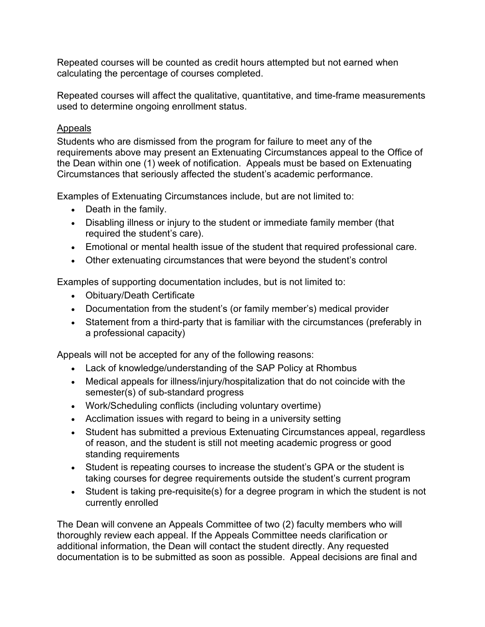Repeated courses will be counted as credit hours attempted but not earned when calculating the percentage of courses completed.

Repeated courses will affect the qualitative, quantitative, and time-frame measurements used to determine ongoing enrollment status.

### Appeals

Students who are dismissed from the program for failure to meet any of the requirements above may present an Extenuating Circumstances appeal to the Office of the Dean within one (1) week of notification. Appeals must be based on Extenuating Circumstances that seriously affected the student's academic performance.

Examples of Extenuating Circumstances include, but are not limited to:

- Death in the family.
- Disabling illness or injury to the student or immediate family member (that required the student's care).
- Emotional or mental health issue of the student that required professional care.
- Other extenuating circumstances that were beyond the student's control

Examples of supporting documentation includes, but is not limited to:

- Obituary/Death Certificate
- Documentation from the student's (or family member's) medical provider
- Statement from a third-party that is familiar with the circumstances (preferably in a professional capacity)

Appeals will not be accepted for any of the following reasons:

- Lack of knowledge/understanding of the SAP Policy at Rhombus
- Medical appeals for illness/injury/hospitalization that do not coincide with the semester(s) of sub-standard progress
- Work/Scheduling conflicts (including voluntary overtime)
- Acclimation issues with regard to being in a university setting
- Student has submitted a previous Extenuating Circumstances appeal, regardless of reason, and the student is still not meeting academic progress or good standing requirements
- Student is repeating courses to increase the student's GPA or the student is taking courses for degree requirements outside the student's current program
- Student is taking pre-requisite(s) for a degree program in which the student is not currently enrolled

The Dean will convene an Appeals Committee of two (2) faculty members who will thoroughly review each appeal. If the Appeals Committee needs clarification or additional information, the Dean will contact the student directly. Any requested documentation is to be submitted as soon as possible. Appeal decisions are final and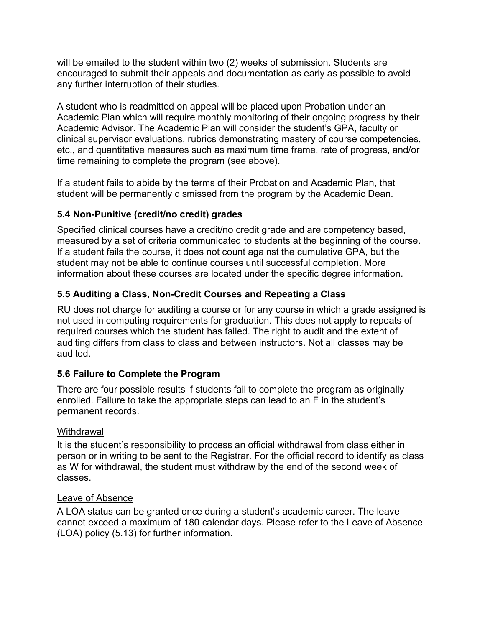will be emailed to the student within two (2) weeks of submission. Students are encouraged to submit their appeals and documentation as early as possible to avoid any further interruption of their studies.

A student who is readmitted on appeal will be placed upon Probation under an Academic Plan which will require monthly monitoring of their ongoing progress by their Academic Advisor. The Academic Plan will consider the student's GPA, faculty or clinical supervisor evaluations, rubrics demonstrating mastery of course competencies, etc., and quantitative measures such as maximum time frame, rate of progress, and/or time remaining to complete the program (see above).

If a student fails to abide by the terms of their Probation and Academic Plan, that student will be permanently dismissed from the program by the Academic Dean.

### 5.4 Non-Punitive (credit/no credit) grades

Specified clinical courses have a credit/no credit grade and are competency based, measured by a set of criteria communicated to students at the beginning of the course. If a student fails the course, it does not count against the cumulative GPA, but the student may not be able to continue courses until successful completion. More information about these courses are located under the specific degree information.

# 5.5 Auditing a Class, Non-Credit Courses and Repeating a Class

RU does not charge for auditing a course or for any course in which a grade assigned is not used in computing requirements for graduation. This does not apply to repeats of required courses which the student has failed. The right to audit and the extent of auditing differs from class to class and between instructors. Not all classes may be audited.

# 5.6 Failure to Complete the Program

There are four possible results if students fail to complete the program as originally enrolled. Failure to take the appropriate steps can lead to an F in the student's permanent records.

### Withdrawal

It is the student's responsibility to process an official withdrawal from class either in person or in writing to be sent to the Registrar. For the official record to identify as class as W for withdrawal, the student must withdraw by the end of the second week of classes.

### Leave of Absence

A LOA status can be granted once during a student's academic career. The leave cannot exceed a maximum of 180 calendar days. Please refer to the Leave of Absence (LOA) policy (5.13) for further information.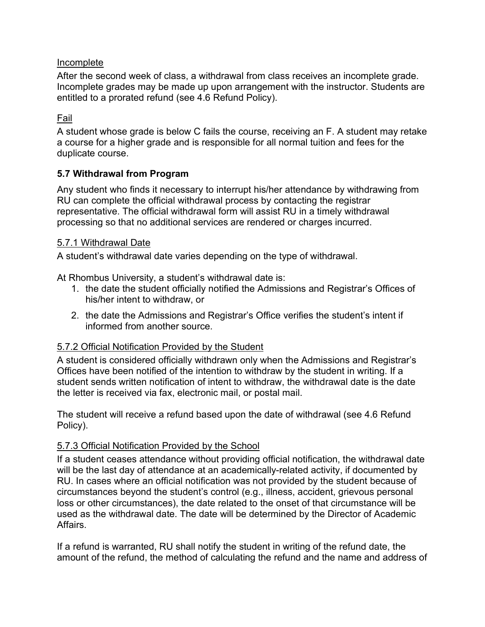### Incomplete

After the second week of class, a withdrawal from class receives an incomplete grade. Incomplete grades may be made up upon arrangement with the instructor. Students are entitled to a prorated refund (see 4.6 Refund Policy).

#### Fail

A student whose grade is below C fails the course, receiving an F. A student may retake a course for a higher grade and is responsible for all normal tuition and fees for the duplicate course.

#### 5.7 Withdrawal from Program

Any student who finds it necessary to interrupt his/her attendance by withdrawing from RU can complete the official withdrawal process by contacting the registrar representative. The official withdrawal form will assist RU in a timely withdrawal processing so that no additional services are rendered or charges incurred.

#### 5.7.1 Withdrawal Date

A student's withdrawal date varies depending on the type of withdrawal.

At Rhombus University, a student's withdrawal date is:

- 1. the date the student officially notified the Admissions and Registrar's Offices of his/her intent to withdraw, or
- 2. the date the Admissions and Registrar's Office verifies the student's intent if informed from another source.

#### 5.7.2 Official Notification Provided by the Student

A student is considered officially withdrawn only when the Admissions and Registrar's Offices have been notified of the intention to withdraw by the student in writing. If a student sends written notification of intent to withdraw, the withdrawal date is the date the letter is received via fax, electronic mail, or postal mail.

The student will receive a refund based upon the date of withdrawal (see 4.6 Refund Policy).

### 5.7.3 Official Notification Provided by the School

If a student ceases attendance without providing official notification, the withdrawal date will be the last day of attendance at an academically-related activity, if documented by RU. In cases where an official notification was not provided by the student because of circumstances beyond the student's control (e.g., illness, accident, grievous personal loss or other circumstances), the date related to the onset of that circumstance will be used as the withdrawal date. The date will be determined by the Director of Academic Affairs.

If a refund is warranted, RU shall notify the student in writing of the refund date, the amount of the refund, the method of calculating the refund and the name and address of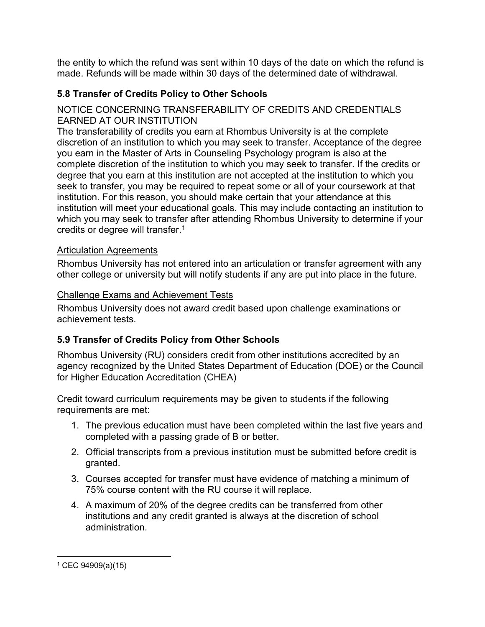the entity to which the refund was sent within 10 days of the date on which the refund is made. Refunds will be made within 30 days of the determined date of withdrawal.

# 5.8 Transfer of Credits Policy to Other Schools

### NOTICE CONCERNING TRANSFERABILITY OF CREDITS AND CREDENTIALS EARNED AT OUR INSTITUTION

The transferability of credits you earn at Rhombus University is at the complete discretion of an institution to which you may seek to transfer. Acceptance of the degree you earn in the Master of Arts in Counseling Psychology program is also at the complete discretion of the institution to which you may seek to transfer. If the credits or degree that you earn at this institution are not accepted at the institution to which you seek to transfer, you may be required to repeat some or all of your coursework at that institution. For this reason, you should make certain that your attendance at this institution will meet your educational goals. This may include contacting an institution to which you may seek to transfer after attending Rhombus University to determine if your credits or degree will transfer.<sup>1</sup>

### Articulation Agreements

Rhombus University has not entered into an articulation or transfer agreement with any other college or university but will notify students if any are put into place in the future.

### Challenge Exams and Achievement Tests

Rhombus University does not award credit based upon challenge examinations or achievement tests.

# 5.9 Transfer of Credits Policy from Other Schools

Rhombus University (RU) considers credit from other institutions accredited by an agency recognized by the United States Department of Education (DOE) or the Council for Higher Education Accreditation (CHEA)

Credit toward curriculum requirements may be given to students if the following requirements are met:

- 1. The previous education must have been completed within the last five years and completed with a passing grade of B or better.
- 2. Official transcripts from a previous institution must be submitted before credit is granted.
- 3. Courses accepted for transfer must have evidence of matching a minimum of 75% course content with the RU course it will replace.
- 4. A maximum of 20% of the degree credits can be transferred from other institutions and any credit granted is always at the discretion of school administration.

<sup>1</sup> CEC 94909(a)(15)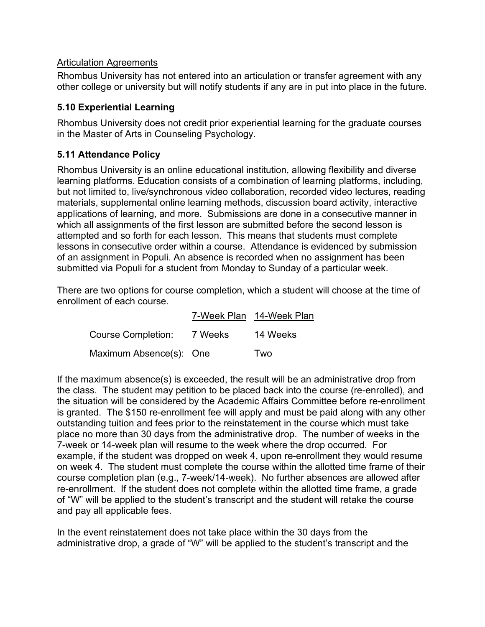#### Articulation Agreements

Rhombus University has not entered into an articulation or transfer agreement with any other college or university but will notify students if any are in put into place in the future.

### 5.10 Experiential Learning

Rhombus University does not credit prior experiential learning for the graduate courses in the Master of Arts in Counseling Psychology.

### 5.11 Attendance Policy

Rhombus University is an online educational institution, allowing flexibility and diverse learning platforms. Education consists of a combination of learning platforms, including, but not limited to, live/synchronous video collaboration, recorded video lectures, reading materials, supplemental online learning methods, discussion board activity, interactive applications of learning, and more. Submissions are done in a consecutive manner in which all assignments of the first lesson are submitted before the second lesson is attempted and so forth for each lesson. This means that students must complete lessons in consecutive order within a course. Attendance is evidenced by submission of an assignment in Populi. An absence is recorded when no assignment has been submitted via Populi for a student from Monday to Sunday of a particular week.

There are two options for course completion, which a student will choose at the time of enrollment of each course.

|                         |         | 7-Week Plan 14-Week Plan |
|-------------------------|---------|--------------------------|
| Course Completion:      | 7 Weeks | 14 Weeks                 |
| Maximum Absence(s): One |         | Two                      |

If the maximum absence(s) is exceeded, the result will be an administrative drop from the class. The student may petition to be placed back into the course (re-enrolled), and the situation will be considered by the Academic Affairs Committee before re-enrollment is granted. The \$150 re-enrollment fee will apply and must be paid along with any other outstanding tuition and fees prior to the reinstatement in the course which must take place no more than 30 days from the administrative drop. The number of weeks in the 7-week or 14-week plan will resume to the week where the drop occurred. For example, if the student was dropped on week 4, upon re-enrollment they would resume on week 4. The student must complete the course within the allotted time frame of their course completion plan (e.g., 7-week/14-week). No further absences are allowed after re-enrollment. If the student does not complete within the allotted time frame, a grade of "W" will be applied to the student's transcript and the student will retake the course and pay all applicable fees.

In the event reinstatement does not take place within the 30 days from the administrative drop, a grade of "W" will be applied to the student's transcript and the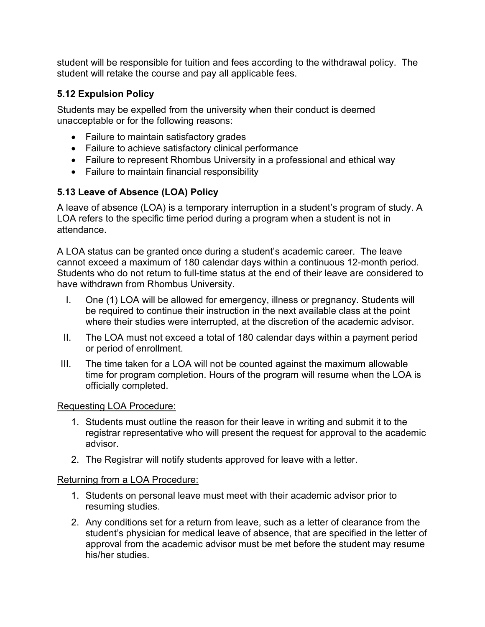student will be responsible for tuition and fees according to the withdrawal policy. The student will retake the course and pay all applicable fees.

# 5.12 Expulsion Policy

Students may be expelled from the university when their conduct is deemed unacceptable or for the following reasons:

- Failure to maintain satisfactory grades
- Failure to achieve satisfactory clinical performance
- Failure to represent Rhombus University in a professional and ethical way
- Failure to maintain financial responsibility

# 5.13 Leave of Absence (LOA) Policy

A leave of absence (LOA) is a temporary interruption in a student's program of study. A LOA refers to the specific time period during a program when a student is not in attendance.

A LOA status can be granted once during a student's academic career. The leave cannot exceed a maximum of 180 calendar days within a continuous 12-month period. Students who do not return to full-time status at the end of their leave are considered to have withdrawn from Rhombus University.

- I. One (1) LOA will be allowed for emergency, illness or pregnancy. Students will be required to continue their instruction in the next available class at the point where their studies were interrupted, at the discretion of the academic advisor.
- II. The LOA must not exceed a total of 180 calendar days within a payment period or period of enrollment.
- III. The time taken for a LOA will not be counted against the maximum allowable time for program completion. Hours of the program will resume when the LOA is officially completed.

### Requesting LOA Procedure:

- 1. Students must outline the reason for their leave in writing and submit it to the registrar representative who will present the request for approval to the academic advisor.
- 2. The Registrar will notify students approved for leave with a letter.

### Returning from a LOA Procedure:

- 1. Students on personal leave must meet with their academic advisor prior to resuming studies.
- 2. Any conditions set for a return from leave, such as a letter of clearance from the student's physician for medical leave of absence, that are specified in the letter of approval from the academic advisor must be met before the student may resume his/her studies.